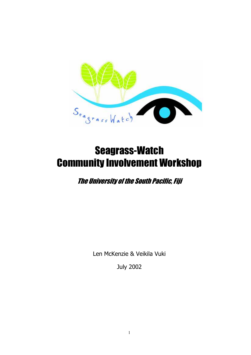

# Seagrass-Watch Community Involvement Workshop

The University of the South Pacific, Fiji

Len McKenzie & Veikila Vuki

July 2002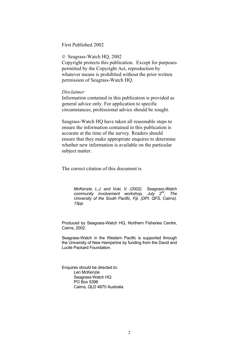### First Published 2002

© Seagrass-Watch HQ, 2002

Copyright protects this publication. Except for purposes permitted by the Copyright Act, reproduction by whatever means is prohibited without the prior written permission of Seagrass-Watch HQ.

### *Disclaimer*

Information contained in this publication is provided as general advice only. For application to specific circumstances, professional advice should be sought.

Seagrass-Watch HQ have taken all reasonable steps to ensure the information contained in this publication is accurate at the time of the survey. Readers should ensure that they make appropriate enquires to determine whether new information is available on the particular subject matter.

The correct citation of this document is

*McKenzie, L.J. and Vuki, V. (2002). Seagrass-Watch community involvement workshop, July 2nd, The University of the South Pacific, Fiji. (DPI, QFS, Cairns). 15pp.* 

Produced by Seagrass-Watch HQ, Northern Fisheries Centre, Cairns, 2002.

Seagrass-Watch in the Western Pacific is supported through the University of New Hampshire by funding from the David and Lucile Packard Foundation.

Enquires should be directed to: Len McKenzie Seagrass-Watch HQ PO Box 5396 Cairns, QLD 4870 Australia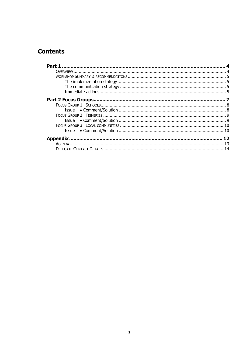### **Contents**

| Part 1          |  |
|-----------------|--|
|                 |  |
|                 |  |
|                 |  |
|                 |  |
|                 |  |
|                 |  |
|                 |  |
|                 |  |
|                 |  |
|                 |  |
|                 |  |
|                 |  |
|                 |  |
| <b>Appendix</b> |  |
|                 |  |
|                 |  |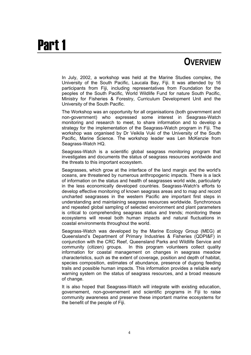# Part 1

## **OVERVIEW**

In July, 2002, a workshop was held at the Marine Studies complex, the University of the South Pacific, Laucala Bay, Fiji. It was attended by 16 participants from Fiji, including representatives from Foundation for the peoples of the South Pacific, World Wildlife Fund for nature South Pacific, Ministry for Fisheries & Forestry, Curriculum Development Unit and the University of the South Pacific.

The Workshop was an opportunity for all organisations (both government and non-government) who expressed some interest in Seagrass-Watch monitoring and research to meet, to share information and to develop a strategy for the implementation of the Seagrass-Watch program in Fiji. The workshop was organised by Dr Veikila Vuki of the University of the South Pacific, Marine Science. The workshop leader was Len McKenzie from Seagrass-Watch HQ.

Seagrass-Watch is a scientific global seagrass monitoring program that investigates and documents the status of seagrass resources worldwide and the threats to this important ecosystem.

Seagrasses, which grow at the interface of the land margin and the world's oceans, are threatened by numerous anthropogenic impacts. There is a lack of information on the status and health of seagrasses world wide, particularly in the less economically developed countries. Seagrass-Watch's efforts to develop effective monitoring of known seagrass areas and to map and record uncharted seagrasses in the western Pacific are important first steps in understanding and maintaining seagrass resources worldwide. Synchronous and repeated global sampling of selected environment and plant parameters is critical to comprehending seagrass status and trends; monitoring these ecosystems will reveal both human impacts and natural fluctuations in coastal environments throughout the world.

Seagrass-Watch was developed by the Marine Ecology Group (MEG) at Queensland's Department of Primary Industries & Fisheries (QDPI&F) in conjunction with the CRC Reef, Queensland Parks and Wildlife Service and community (citizen) groups. In this program volunteers collect quality information for coastal management on changes in seagrass meadow characteristics, such as the extent of coverage, position and depth of habitat, species composition, estimates of abundance, presence of dugong feeding trails and possible human impacts. This information provides a reliable early warning system on the status of seagrass resources, and a broad measure of change.

It is also hoped that Seagrass-Watch will integrate with existing education, governement, non-governement and scientific programs in Fiji to raise community awareness and preserve these important marine ecosystems for the benefit of the people of Fiji.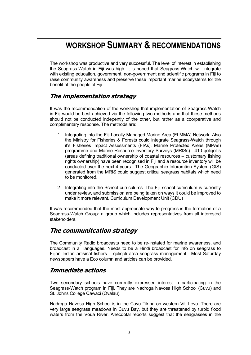## **WORKSHOP SUMMARY & RECOMMENDATIONS**

The workshop was productive and very successful. The level of interest in establishing the Seagrass-Watch in Fiji was high. It is hoped that Seagrass-Watch will integrate with existing education, government, non-government and scientific programs in Fiji to raise community awareness and preserve these important marine ecosystems for the benefit of the people of Fiji.

### **The implementation strategy**

It was the recommendation of the workshop that implementation of Seagrass-Watch in Fiji would be best achieved via the following two methods and that these methods should not be conducted indepently of the other, but rather as a coorperative and complimentary response. The methods are:

- 1. Integrating into the Fiji Locally Managed Marine Area (FLMMA) Network. Also the Ministry for Fisheries & Forests could integrate Seagrass-Watch through it's Fisheries Impact Assessments (FIAs), Marine Protected Areas (MPAs) programme and Marine Resource Inventory Surveys (MRISs). 410 qoliqoli's (areas defining traditional ownership of coastal resources – customary fishing rights ownership) have been recognised in Fiji and a resource inventory will be conducted over the next 4 years. The Geographic Inforamtion System (GIS) generated from the MRIS could suggest critical seagrass habitats which need to be monitored.
- 2. Integrating into the School curriculums. The Fiji school curriculum is currenlty under review, and submission are being taken on ways it could be improved to make it more relevant. Curriculum Development Unit (CDU)

It was recommended that the most appropriate way to progress is the formation of a Seagrass-Watch Group: a group which includes representatives from all interested stakeholders.

### **The communitcation strategy**

The Community Radio broadcasts need to be re-instated for marine awareness, and broadcast in all languages. Needs to be a Hindi broadcast for info on seagrass to Fijian Indian artisinal fishers – qoliqoli area seagrass management. Most Saturday newspapers have a Eco column and articles can be provided.

### **Immediate actions**

Two secondary schools have currently expressed interest in participating in the Seagrass-Watch program in Fiji. They are Nadroga Navosa High School (Cuvu) and St. Johns College Cawaci (Ovalau).

Nadroga Navosa High School is in the Cuvu Tikina on western Viti Levu. There are very large seagrass meadows in Cuvu Bay, but they are threatened by turbid flood waters from the Voua River. Anecdotal reports suggest that the seagrasses in the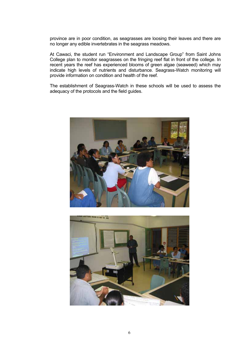province are in poor condition, as seagrasses are loosing their leaves and there are no longer any edible invertebrates in the seagrass meadows.

At Cawaci, the student run "Environment and Landscape Group" from Saint Johns College plan to monitor seagrasses on the fringing reef flat in front of the college. In recent years the reef has experienced blooms of green algae (seaweed) which may indicate high levels of nutrients and disturbance. Seagrass-Watch monitoring will provide information on condition and health of the reef.

The establishment of Seagrass-Watch in these schools will be used to assess the adequacy of the protocols and the field guides.



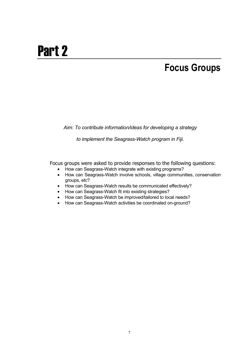# Part 2

## **Focus Groups**

*Aim: To contribute information/ideas for developing a strategy* 

*to implement the Seagrass-Watch program in Fiji.* 

Focus groups were asked to provide responses to the following questions:

- How can Seagrass-Watch integrate with existing programs?
- How can Seagrass-Watch involve schools, village communities, conservation groups, *etc*?
- How can Seagrass-Watch results be communicated effectively?
- How can Seagrass-Watch fit into existing strategies?
- How can Seagrass-Watch be improved/tailored to local needs?
- How can Seagrass-Watch activities be coordinated on-ground?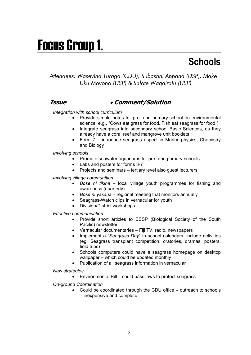# Focus Group 1.

## Schools

### *Attendees: Wasevina Turaga (CDU), Subashni Appana (USP), Make Liku Movono (USP) & Salote Waqairatu (USP)*

### **Issue** • **Comment/Solution**

### *Integration with school curriculum*

- Provide simple notes for pre- and primary-school on environmental science, e.g., "Cows eat grass for food. Fish eat seagrass for food."
- Integrate seagrass into secondary school Basic Sciences, as they already have a coral reef and mangrove unit booklets
- Form 7 introduce seagrass aspect in Marine-physics, Chemistry and Biology

### *Involving schools*

- Promote seawater aquariums for pre- and primary-schools
- Labs and posters for forms 3-7
- Projects and seminars tertiary level also guest lecturers

### *Involving village communities*

- *Bose ni tikina* local village youth programmes for fishing and awareness (quarterly)
- *Bose ni yasana* regional meeting that monitors annually
- Seagrass-Watch clips in vernacular for youth
- Division/District workshops

### *Effective communication*

- Provide short articles to BSSP (Biological Society of the South Pacific) newsletter
- Vernacular documentaries Fiji TV, radio, newspapers
- Implement a "*Seagrass Day*" in school calendars, include activities (eg. Seagrass transplant competition, oratories, dramas, posters, field trips)
- Schools computers could have a seagrass homepage on desktop wallpaper – which could be updated monthly
- Publication of all seagrass information in vernacular

### *New strategies*

• Environmental Bill – could pass laws to protect seagrass

### *On-ground Coordination*

• Could be coordinated through the CDU office – outreach to schools – inexpensive and complete.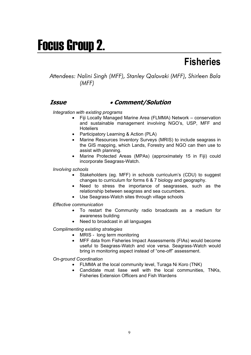# Focus Group 2.

## **Fisheries**

### *Attendees: Nalini Singh (MFF), Stanley Qalovaki (MFF), Shirleen Bala (MFF)*

### **Issue** • **Comment/Solution**

### *Integration with existing programs*

- Fiji Locally Managed Marine Area (FLMMA) Network conservation and sustainable management involving NGO's, USP, MFF and **Hoteliers**
- Participatory Learning & Action (PLA)
- Marine Resources Inventory Surveys (MRIS) to include seagrass in the GIS mapping, which Lands, Forestry and NGO can then use to assist with planning.
- Marine Protected Areas (MPAs) (approximately 15 in Fiji) could incorporate Seagrass-Watch.

*Involving schools*

- Stakeholders (eg. MFF) in schools curriculum's (CDU) to suggest changes to curriculum for forms 6 & 7 biology and geography.
- Need to stress the importance of seagrasses, such as the relationship between seagrass and sea cucumbers.
- Use Seagrass-Watch sites through village schools

*Effective communication* 

- To restart the Community radio broadcasts as a medium for awareness building
- Need to broadcast in all languages

*Complimenting existing strategies* 

- MRIS long term monitoring
- MFF data from Fisheries Impact Assessments (FIAs) would become useful to Seagrass-Watch and vice versa. Seagrass-Watch would bring in monitoring aspect instead of "one-off" assessment.

*On-ground Coordination* 

- FLMMA at the local community level, Turaga Ni Koro (TNK)
- Candidate must liase well with the local communities, TNKs, Fisheries Extension Officers and Fish Wardens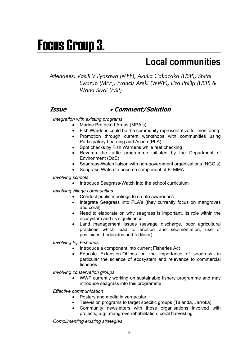# Focus Group 3.

## **Local communities**

*Attendees: Vasiti Vuiyasawa (MFF), Akuila Cakacaka (USP), Shital Swarup (MFF), Francis Areki (WWF), Liza Philip (USP) & Wana Sivoi (FSP)* 

### **Issue** • **Comment/Solution**

*Integration with existing programs*

- Marine Protected Areas (MPA's)
- Fish Wardens could be the community representative for monitoring
- Promotion through current workshops with communities using Participatory Learning and Action (PLA).
- Spot checks by Fish Wardens while reef checking
- Revamp the turtle programme initiated by the Department of Environment (DoE)
- Seagrass-Watch liaison with non-government organisations (NGO's)
- Seagrass-Watch to become component of FLMMA

### *Involving schools*

• Introduce Seagrass-Watch into the school curriculum

*Involving village communities* 

- Conduct public meetings to create awareness
- Integrate Seagrass into PLA's (they currently focus on mangroves and coral)
- Need to elaborate on why seagrass is important, its role within the ecosystem and its significance
- Land management issues (sewage discharge, poor agricultural practices which lead to erosion and sedimentation, use of pesticides, herbicides and fertiliser)

*Involving Fiji Fisheries* 

- Introduce a component into current Fisheries Act
- Educate Extension-Offices on the importance of seagrass, in particular the science of ecosystem and relevance to commercial fisheries

*Involving conservation groups* 

• WWF currently working on sustainable fishery programme and may introduce seagrass into this programme

*Effective communication* 

- Posters and media in vernacular
- Television programs to target specific groups (Talanda, Jarroka)
- Community newsletters with those organisations involved with projects, e.g., mangrove rehabilitation, coral harvesting.

*Complimenting existing strategies*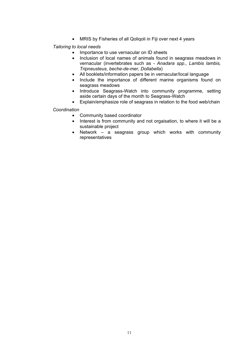• MRIS by Fisheries of all Qoliqoli in Fiji over next 4 years

*Tailoring to local needs* 

- Importance to use vernacular on ID sheets
- Inclusion of local names of animals found in seagrass meadows in vernacular (invertebrates such as - *Anadara spp., Lambis lambis, Tripneusteus, beche-de-mer, Dollabella*)
- All booklets/information papers be in vernacular/local language
- Include the importance of different marine organisms found on seagrass meadows
- Introduce Seagrass-Watch into community programme, setting aside certain days of the month to Seagrass-Watch
- Explain/emphasize role of seagrass in relation to the food web/chain

*Coordination* 

- Community based coordinator
- Interest is from community and not orgaisation, to where it will be a sustainable project
- Network a seagrass group which works with community representatives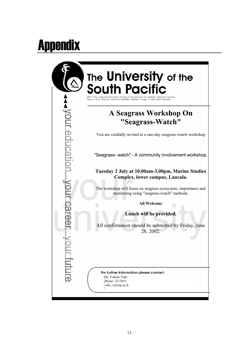# Appendix

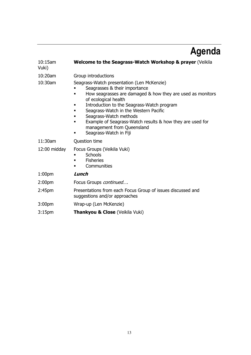# **Agenda**

| $10:15$ am<br>Vuki) | Welcome to the Seagrass-Watch Workshop & prayer (Veikila                                                                                                                                                                                                                                                                                                                                                     |
|---------------------|--------------------------------------------------------------------------------------------------------------------------------------------------------------------------------------------------------------------------------------------------------------------------------------------------------------------------------------------------------------------------------------------------------------|
| 10:20am             | Group introductions                                                                                                                                                                                                                                                                                                                                                                                          |
| 10:30am             | Seagrass-Watch presentation (Len McKenzie)<br>Seagrasses & their importance<br>How seagrasses are damaged & how they are used as monitors<br>of ecological health<br>Introduction to the Seagrass-Watch program<br>Seagrass-Watch in the Western Pacific<br>٠<br>Seagrass-Watch methods<br>Example of Seagrass-Watch results & how they are used for<br>management from Queensland<br>Seagrass-Watch in Fiji |
| 11:30am             | Question time                                                                                                                                                                                                                                                                                                                                                                                                |
| $12:00$ midday      | Focus Groups (Veikila Vuki)<br><b>Schools</b><br><b>Fisheries</b><br>Communities                                                                                                                                                                                                                                                                                                                             |
| 1:00 <sub>pm</sub>  | Lunch                                                                                                                                                                                                                                                                                                                                                                                                        |
| 2:00 <sub>pm</sub>  | Focus Groups continued                                                                                                                                                                                                                                                                                                                                                                                       |
| 2:45 <sub>pm</sub>  | Presentations from each Focus Group of issues discussed and<br>suggestions and/or approaches                                                                                                                                                                                                                                                                                                                 |
| 3:00 <sub>pm</sub>  | Wrap-up (Len McKenzie)                                                                                                                                                                                                                                                                                                                                                                                       |
| 3:15 <sub>pm</sub>  | <b>Thankyou &amp; Close (Veikila Vuki)</b>                                                                                                                                                                                                                                                                                                                                                                   |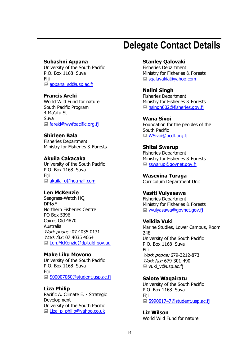## **Delegate Contact Details**

### **Subashni Appana**

University of the South Pacific P.O. Box 1168 Suva Fiji ■ appana\_sd@usp.ac.fj

### **Francis Areki**

World Wild Fund for nature South Pacific Program 4 Ma'afu St Suva ■ fareki@wwfpacific.org.fj

**Shirleen Bala** 

Fisheries Department Ministry for Fisheries & Forests

### **Akuila Cakacaka**

University of the South Pacific P.O. Box 1168 Suva Fiji ■ akuila\_c@hotmail.com

### **Len McKenzie**

Seagrass-Watch HQ DPI&F Northern Fisheries Centre PO Box 5396 Cairns Qld 4870 Australia Work phone: 07 4035 0131 Work fax: 07 4035 4664 ■ Len.McKenzie@dpi.gld.gov.au

### **Make Liku Movono**

University of the South Pacific P.O. Box 1168 Suva Fiji ■ S00007060@student.usp.ac.fi

### **Liza Philip**

Pacific A. Climate E. - Strategic Development University of the South Pacific Liza p\_philip@yahoo.co.uk

### **Stanley Qalovaki**

Fisheries Department Ministry for Fisheries & Forests ■ sqalavakia@yahoo.com

### **Nalini Singh**

Fisheries Department Ministry for Fisheries & Forests ■ nsingh002@fisheries.gov.fj

**Wana Sivoi**  Foundation for the peoples of the South Pacific ■ WSivoi@pcdf.org.fj

**Shital Swarup**  Fisheries Department Ministry for Fisheries & Forests ■ sswarup@govnet.gov.fj

**Wasevina Turaga**  Curriculum Department Unit

### **Vasiti Vuiyasawa**  Fisheries Department Ministry for Fisheries & Forests

vvuiyasawa@govnet.gov.fj

### **Veikila Vuki**

Marine Studies, Lower Campus, Room 248 University of the South Pacific P.O. Box 1168 Suva Fiji Work phone: 679-3212-873 Work fax: 679-301-490 ■ vuki v@usp.ac.fj

### **Salote Waqairatu**

University of the South Pacific P.O. Box 1168 Suva Fiji ■ S99001747@student.usp.ac.fj

**Liz Wilson**  World Wild Fund for nature